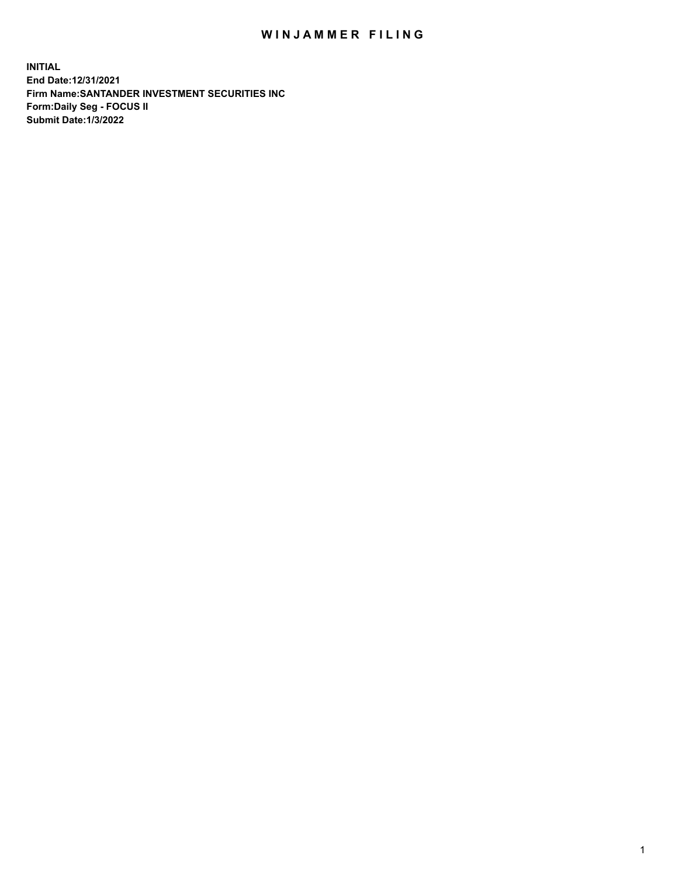## WIN JAMMER FILING

**INITIAL End Date:12/31/2021 Firm Name:SANTANDER INVESTMENT SECURITIES INC Form:Daily Seg - FOCUS II Submit Date:1/3/2022**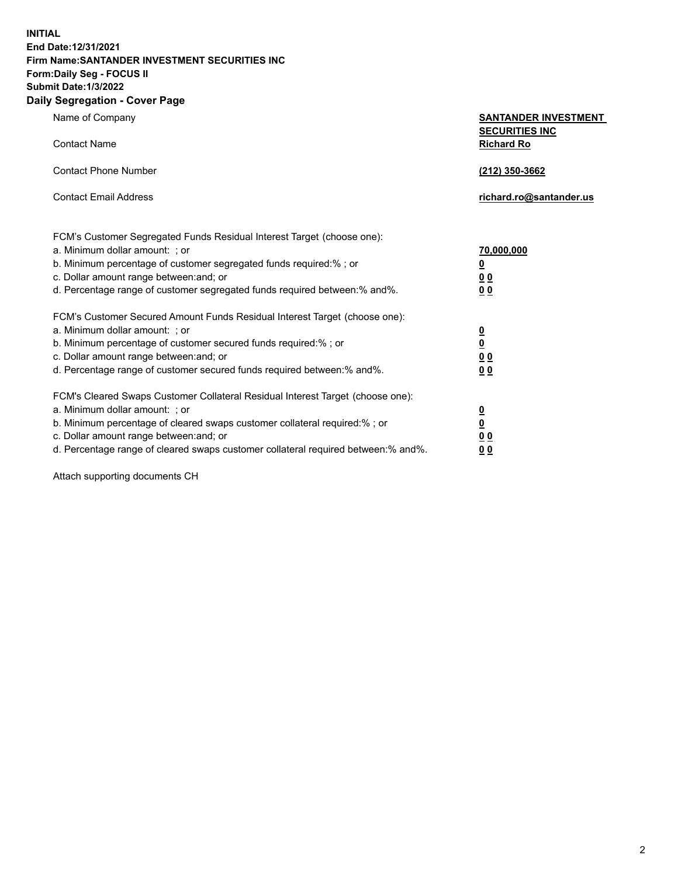**INITIAL End Date:12/31/2021 Firm Name:SANTANDER INVESTMENT SECURITIES INC Form:Daily Seg - FOCUS II Submit Date:1/3/2022 Daily Segregation - Cover Page**

**Name of Company** 

**Contact Name** 

| <b>SANTANDER INVESTMENT</b> |
|-----------------------------|
| <b>SECURITIES INC</b>       |
| <b>Richard Ro</b>           |

| Contact Phone Number                                                   | (212) 350-3662          |
|------------------------------------------------------------------------|-------------------------|
| <b>Contact Email Address</b>                                           | richard.ro@santander.us |
| FCM's Customer Segregated Funds Residual Interest Target (choose one): |                         |
| a. Minimum dollar amount: ; or                                         | 70,000,000              |
| b. Minimum percentage of customer segregated funds required:%; or      | 0                       |
| a Dallar amaunt range betusenisndi er                                  | <u>^ ^ </u>             |

| c. Dollar amount range between: and; or<br>d. Percentage range of customer segregated funds required between: % and %.                                                                                                                                                                                                         | 00<br>00                                                                   |
|--------------------------------------------------------------------------------------------------------------------------------------------------------------------------------------------------------------------------------------------------------------------------------------------------------------------------------|----------------------------------------------------------------------------|
| FCM's Customer Secured Amount Funds Residual Interest Target (choose one):<br>a. Minimum dollar amount: : or<br>b. Minimum percentage of customer secured funds required:%; or<br>c. Dollar amount range between: and; or<br>d. Percentage range of customer secured funds required between:% and%.                            | $\overline{\mathbf{0}}$<br>$\overline{\mathbf{0}}$<br>0 <sub>0</sub><br>00 |
| FCM's Cleared Swaps Customer Collateral Residual Interest Target (choose one):<br>a. Minimum dollar amount: ; or<br>b. Minimum percentage of cleared swaps customer collateral required:% ; or<br>c. Dollar amount range between: and; or<br>d. Percentage range of cleared swaps customer collateral required between:% and%. | $\overline{\mathbf{0}}$<br>$\overline{\mathbf{0}}$<br>0 <sub>0</sub><br>00 |

Attach supporting documents CH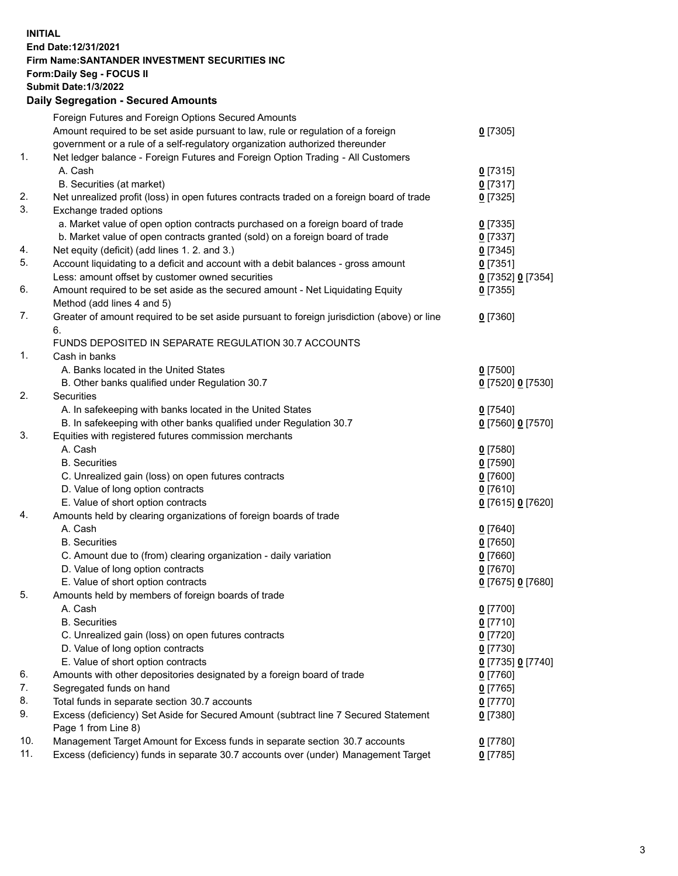## **INITIAL End Date:12/31/2021 Firm Name:SANTANDER INVESTMENT SECURITIES INC Form:Daily Seg - FOCUS II Submit Date:1/3/2022 Daily Segregation - Secured Amounts** Foreign Futures and Foreign Options Secured Amounts Amount required to be set aside pursuant to law, rule or regulation of a foreign government or a rule of a self-regulatory organization authorized thereunder 1. Net ledger balance - Foreign Futures and Foreign Option Trading - All Customers A. Cash **0** [7315] B. Securities (at market) **0** [7317] 2. Net unrealized profit (loss) in open futures contracts traded on a foreign board of trade **0** [7325] 3. Exchange traded options a. Market value of open option contracts purchased on a foreign board of trade **0** [7335] b. Market value of open contracts granted (sold) on a foreign board of trade **0** [7337] 4. Net equity (deficit) (add lines 1. 2. and 3.) **0** [7345] 5. Account liquidating to a deficit and account with a debit balances - gross amount **0** [7351] Less: amount offset by customer owned securities **0** [7352] **0** [7354] 6. Amount required to be set aside as the secured amount - Net Liquidating Equity Method (add lines 4 and 5)

7. Greater of amount required to be set aside pursuant to foreign jurisdiction (above) or line 6. **0** [7360] FUNDS DEPOSITED IN SEPARATE REGULATION 30.7 ACCOUNTS 1. Cash in banks A. Banks located in the United States **0** [7500] B. Other banks qualified under Regulation 30.7 **0** [7520] **0** [7530] 2. Securities A. In safekeeping with banks located in the United States **0** [7540] B. In safekeeping with other banks qualified under Regulation 30.7 **0** [7560] **0** [7570] 3. Equities with registered futures commission merchants A. Cash **0** [7580] B. Securities **0** [7590] C. Unrealized gain (loss) on open futures contracts **0** [7600] D. Value of long option contracts **0** [7610] E. Value of short option contracts **0** [7615] **0** [7620] 4. Amounts held by clearing organizations of foreign boards of trade A. Cash **0** [7640] B. Securities **0** [7650] C. Amount due to (from) clearing organization - daily variation **0** [7660] D. Value of long option contracts **0** [7670] E. Value of short option contracts **0** [7675] **0** [7680] 5. Amounts held by members of foreign boards of trade A. Cash **0** [7700] B. Securities **0** [7710] C. Unrealized gain (loss) on open futures contracts **0** [7720] D. Value of long option contracts **0** [7730] E. Value of short option contracts **0** [7735] **0** [7740] 6. Amounts with other depositories designated by a foreign board of trade **0** [7760] 7. Segregated funds on hand **0** [7765] 8. Total funds in separate section 30.7 accounts **0** [7770] 9. Excess (deficiency) Set Aside for Secured Amount (subtract line 7 Secured Statement Page 1 from Line 8) **0** [7380] 10. Management Target Amount for Excess funds in separate section 30.7 accounts **0** [7780] 11. Excess (deficiency) funds in separate 30.7 accounts over (under) Management Target **0** [7785]

**0** [7305]

**0** [7355]

3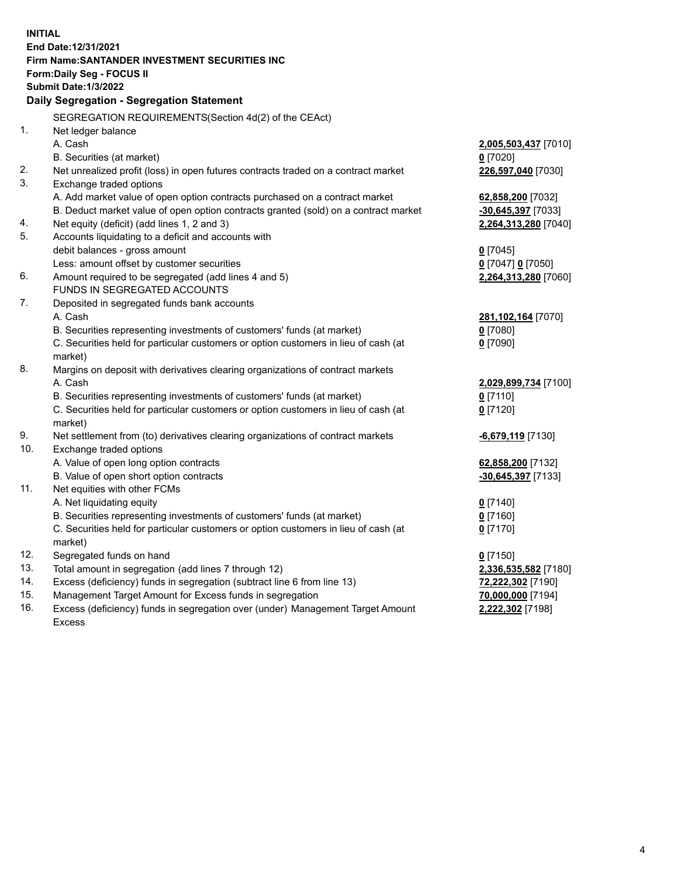| <b>INITIAL</b> |                                                                                     |                           |
|----------------|-------------------------------------------------------------------------------------|---------------------------|
|                | End Date:12/31/2021                                                                 |                           |
|                | Firm Name: SANTANDER INVESTMENT SECURITIES INC                                      |                           |
|                | Form: Daily Seg - FOCUS II                                                          |                           |
|                | <b>Submit Date: 1/3/2022</b>                                                        |                           |
|                | Daily Segregation - Segregation Statement                                           |                           |
|                | SEGREGATION REQUIREMENTS(Section 4d(2) of the CEAct)                                |                           |
| 1.             | Net ledger balance                                                                  |                           |
|                | A. Cash                                                                             |                           |
|                |                                                                                     | 2,005,503,437 [7010]      |
|                | B. Securities (at market)                                                           | $0$ [7020]                |
| 2.<br>3.       | Net unrealized profit (loss) in open futures contracts traded on a contract market  | 226,597,040 [7030]        |
|                | Exchange traded options                                                             |                           |
|                | A. Add market value of open option contracts purchased on a contract market         | 62,858,200 [7032]         |
|                | B. Deduct market value of open option contracts granted (sold) on a contract market | <u>-30,645,397</u> [7033] |
| 4.<br>5.       | Net equity (deficit) (add lines 1, 2 and 3)                                         | 2,264,313,280 [7040]      |
|                | Accounts liquidating to a deficit and accounts with                                 |                           |
|                | debit balances - gross amount                                                       | $0$ [7045]                |
|                | Less: amount offset by customer securities                                          | $0$ [7047] $0$ [7050]     |
| 6.             | Amount required to be segregated (add lines 4 and 5)                                | 2,264,313,280 [7060]      |
|                | FUNDS IN SEGREGATED ACCOUNTS                                                        |                           |
| 7.             | Deposited in segregated funds bank accounts                                         |                           |
|                | A. Cash                                                                             | 281,102,164 [7070]        |
|                | B. Securities representing investments of customers' funds (at market)              | $0$ [7080]                |
|                | C. Securities held for particular customers or option customers in lieu of cash (at | $0$ [7090]                |
|                | market)                                                                             |                           |
| 8.             | Margins on deposit with derivatives clearing organizations of contract markets      |                           |
|                | A. Cash                                                                             | 2,029,899,734 [7100]      |
|                | B. Securities representing investments of customers' funds (at market)              | $0$ [7110]                |
|                | C. Securities held for particular customers or option customers in lieu of cash (at | $0$ [7120]                |
|                | market)                                                                             |                           |
| 9.             | Net settlement from (to) derivatives clearing organizations of contract markets     | -6,679,119 [7130]         |
| 10.            | Exchange traded options                                                             |                           |
|                | A. Value of open long option contracts                                              | 62,858,200 [7132]         |
| 11.            | B. Value of open short option contracts                                             | -30,645,397 [7133]        |
|                | Net equities with other FCMs                                                        |                           |
|                | A. Net liquidating equity                                                           | $0$ [7140]                |
|                | B. Securities representing investments of customers' funds (at market)              | $0$ [7160]                |
|                | C. Securities held for particular customers or option customers in lieu of cash (at | $0$ [7170]                |
|                | market)                                                                             |                           |
| 12.            | Segregated funds on hand                                                            | $0$ [7150]                |
| 13.            | Total amount in segregation (add lines 7 through 12)                                | 2,336,535,582 [7180]      |
| 14.            | Excess (deficiency) funds in segregation (subtract line 6 from line 13)             | 72,222,302 [7190]         |
| 15.            | Management Target Amount for Excess funds in segregation                            | 70,000,000 [7194]         |
| 16.            | Excess (deficiency) funds in segregation over (under) Management Target Amount      | 2,222,302 [7198]          |
|                | <b>Excess</b>                                                                       |                           |